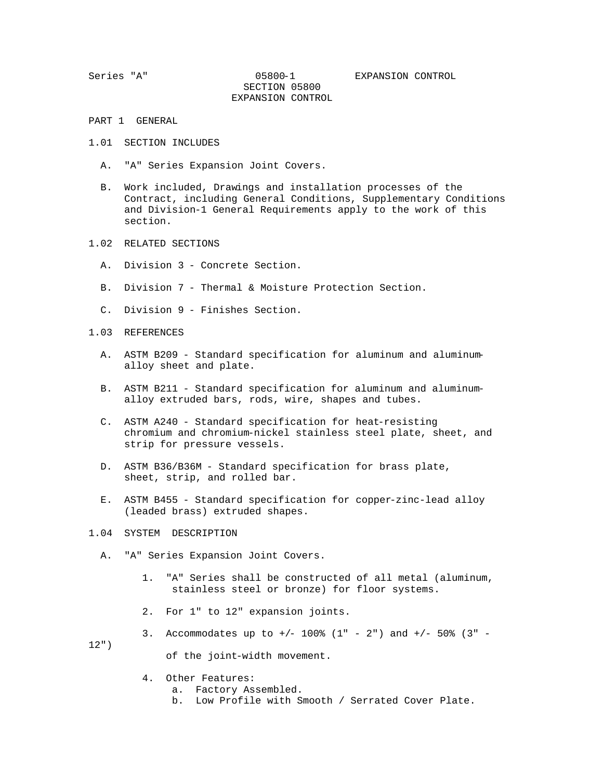- PART 1 GENERAL
- 1.01 SECTION INCLUDES
	- A. "A" Series Expansion Joint Covers.
	- B. Work included, Drawings and installation processes of the Contract, including General Conditions, Supplementary Conditions and Division-1 General Requirements apply to the work of this section.
- 1.02 RELATED SECTIONS
	- A. Division 3 Concrete Section.
	- B. Division 7 Thermal & Moisture Protection Section.
	- C. Division 9 Finishes Section.
- 1.03 REFERENCES
	- A. ASTM B209 Standard specification for aluminum and aluminum alloy sheet and plate.
	- B. ASTM B211 Standard specification for aluminum and aluminum alloy extruded bars, rods, wire, shapes and tubes.
	- C. ASTM A240 Standard specification for heat-resisting chromium and chromium-nickel stainless steel plate, sheet, and strip for pressure vessels.
	- D. ASTM B36/B36M Standard specification for brass plate, sheet, strip, and rolled bar.
	- E. ASTM B455 Standard specification for copper-zinc-lead alloy (leaded brass) extruded shapes.
- 1.04 SYSTEM DESCRIPTION
	- A. "A" Series Expansion Joint Covers.
		- 1. "A" Series shall be constructed of all metal (aluminum, stainless steel or bronze) for floor systems.
		- 2. For 1" to 12" expansion joints.

3. Accommodates up to  $+/$ - 100% (1" - 2") and  $+/-$  50% (3" -12") of the joint-width movement.

- 4. Other Features:
	- a. Factory Assembled.
	- b. Low Profile with Smooth / Serrated Cover Plate.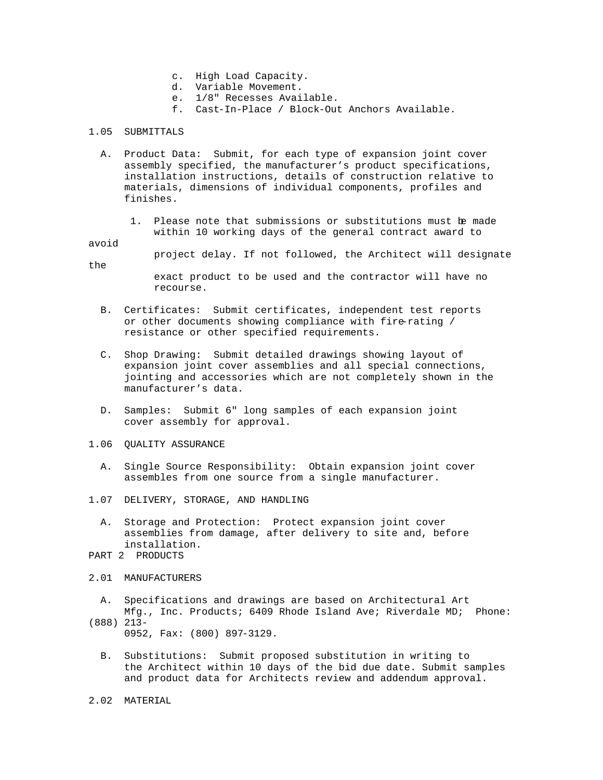- c. High Load Capacity.
- d. Variable Movement.
- e. 1/8" Recesses Available.
- f. Cast-In-Place / Block-Out Anchors Available.

#### 1.05 SUBMITTALS

- A. Product Data: Submit, for each type of expansion joint cover assembly specified, the manufacturer's product specifications, installation instructions, details of construction relative to materials, dimensions of individual components, profiles and finishes.
	- 1. Please note that submissions or substitutions must be made within 10 working days of the general contract award to

#### avoid

project delay. If not followed, the Architect will designate

the

 exact product to be used and the contractor will have no recourse.

- B. Certificates: Submit certificates, independent test reports or other documents showing compliance with fire-rating / resistance or other specified requirements.
- C. Shop Drawing: Submit detailed drawings showing layout of expansion joint cover assemblies and all special connections, jointing and accessories which are not completely shown in the manufacturer's data.
- D. Samples: Submit 6" long samples of each expansion joint cover assembly for approval.
- 1.06 QUALITY ASSURANCE
	- A. Single Source Responsibility: Obtain expansion joint cover assembles from one source from a single manufacturer.
- 1.07 DELIVERY, STORAGE, AND HANDLING
	- A. Storage and Protection: Protect expansion joint cover assemblies from damage, after delivery to site and, before installation.
- PART 2 PRODUCTS
- 2.01 MANUFACTURERS
	- A. Specifications and drawings are based on Architectural Art Mfg., Inc. Products; 6409 Rhode Island Ave; Riverdale MD; Phone:
- (888) 213- 0952, Fax: (800) 897-3129.
	- B. Substitutions: Submit proposed substitution in writing to the Architect within 10 days of the bid due date. Submit samples and product data for Architects review and addendum approval.
- 2.02 MATERIAL